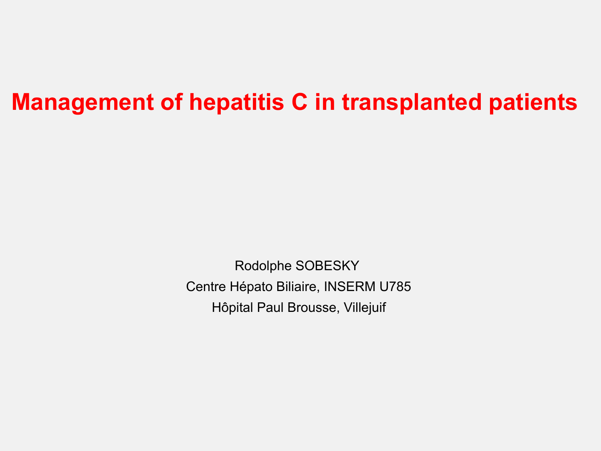### **Management of hepatitis C in transplanted patients**

Rodolphe SOBESKY Centre Hépato Biliaire, INSERM U785 Hôpital Paul Brousse, Villejuif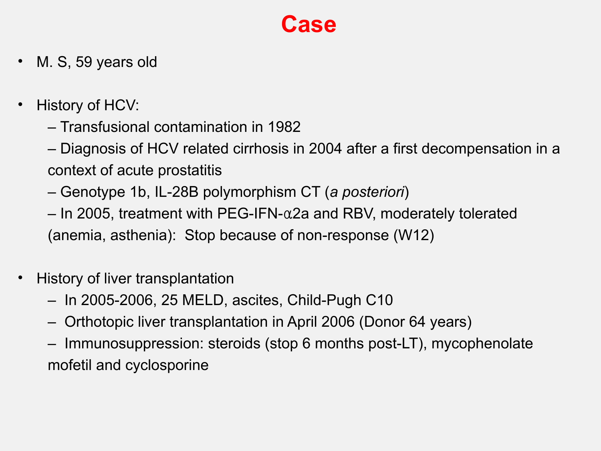- M. S, 59 years old
- History of HCV:
	- Transfusional contamination in 1982
	- Diagnosis of HCV related cirrhosis in 2004 after a first decompensation in a context of acute prostatitis
	- Genotype 1b, IL-28B polymorphism CT (*a posteriori*)
	- In 2005, treatment with PEG-IFN-α2a and RBV, moderately tolerated (anemia, asthenia): Stop because of non-response (W12)
- History of liver transplantation
	- In 2005-2006, 25 MELD, ascites, Child-Pugh C10
	- Orthotopic liver transplantation in April 2006 (Donor 64 years)
	- Immunosuppression: steroids (stop 6 months post-LT), mycophenolate mofetil and cyclosporine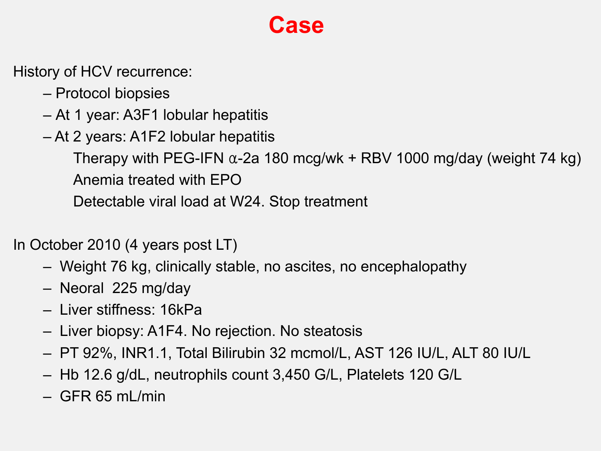History of HCV recurrence:

- Protocol biopsies
- At 1 year: A3F1 lobular hepatitis
- At 2 years: A1F2 lobular hepatitis

Therapy with PEG-IFN  $\alpha$ -2a 180 mcg/wk + RBV 1000 mg/day (weight 74 kg) Anemia treated with EPO

Detectable viral load at W24. Stop treatment

In October 2010 (4 years post LT)

- Weight 76 kg, clinically stable, no ascites, no encephalopathy
- Neoral 225 mg/day
- Liver stiffness: 16kPa
- Liver biopsy: A1F4. No rejection. No steatosis
- PT 92%, INR1.1, Total Bilirubin 32 mcmol/L, AST 126 IU/L, ALT 80 IU/L
- Hb 12.6 g/dL, neutrophils count 3,450 G/L, Platelets 120 G/L
- $-$  GFR 65 mL/min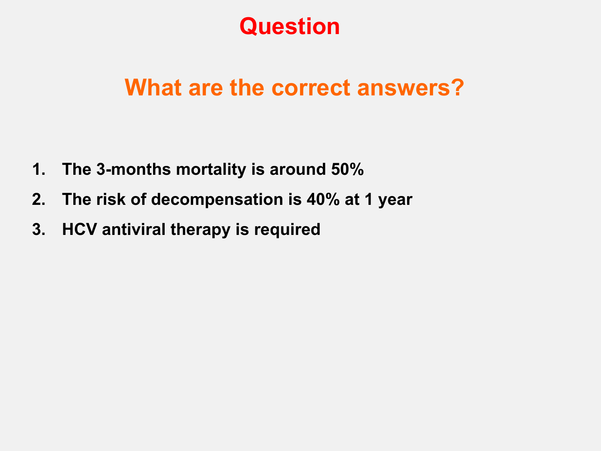### **Question**

### **What are the correct answers?**

- **1. The 3-months mortality is around 50%**
- **2. The risk of decompensation is 40% at 1 year**
- **3. HCV antiviral therapy is required**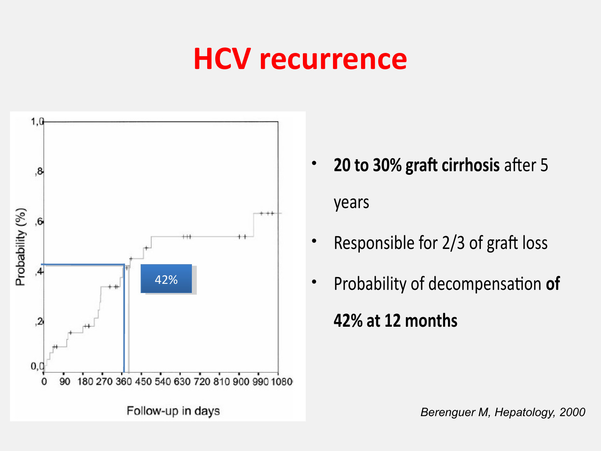## **HCV recurrence**



- **20 to 30% graft cirrhosis after 5** years
- Responsible for 2/3 of graft loss
- Probability of decompensation **of 42% at 12 months**

*Berenguer M, Hepatology, 2000*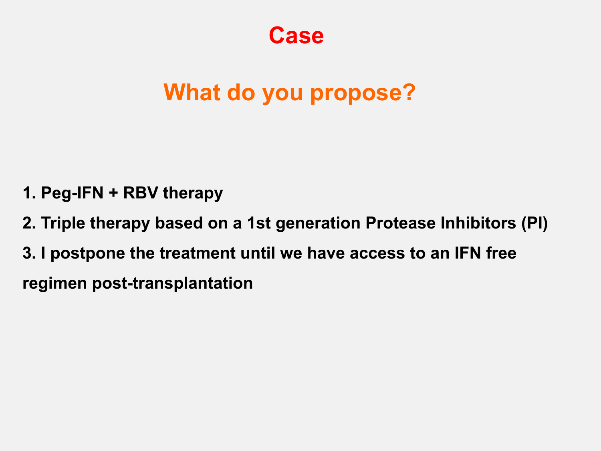### **What do you propose?**

- **1. Peg-IFN + RBV therapy**
- **2. Triple therapy based on a 1st generation Protease Inhibitors (PI) 3. I postpone the treatment until we have access to an IFN free regimen post-transplantation**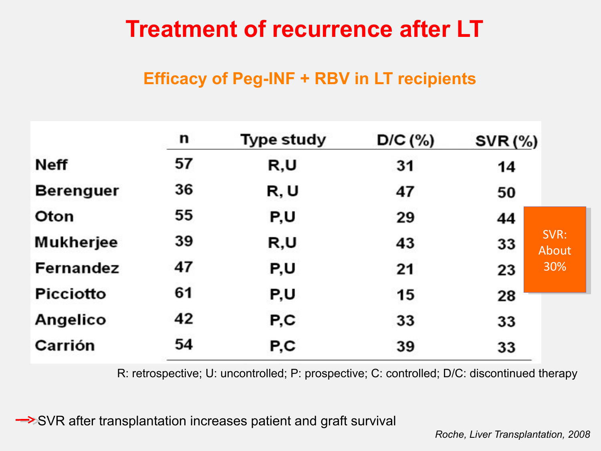### **Treatment of recurrence after LT**

#### **Efficacy of Peg-INF + RBV in LT recipients**

|                  | n  | Type study | $D/C$ (%) | <b>SVR (%)</b>      |
|------------------|----|------------|-----------|---------------------|
| Neff             | 57 | R,U        | 31        | 14                  |
| <b>Berenguer</b> | 36 | R, U       | 47        | 50                  |
| Oton             | 55 | P,U        | 29        | 44                  |
| Mukherjee        | 39 | R,U        | 43        | SVR:<br>33<br>About |
| Fernandez        | 47 | P,U        | 21        | 30%<br>23           |
| <b>Picciotto</b> | 61 | P,U        | 15        | 28                  |
| Angelico         | 42 | P,C        | 33        | 33                  |
| Carrión          | 54 | P,C        | 39        | 33                  |

R: retrospective; U: uncontrolled; P: prospective; C: controlled; D/C: discontinued therapy

SVR after transplantation increases patient and graft survival

*Roche, Liver Transplantation, 2008*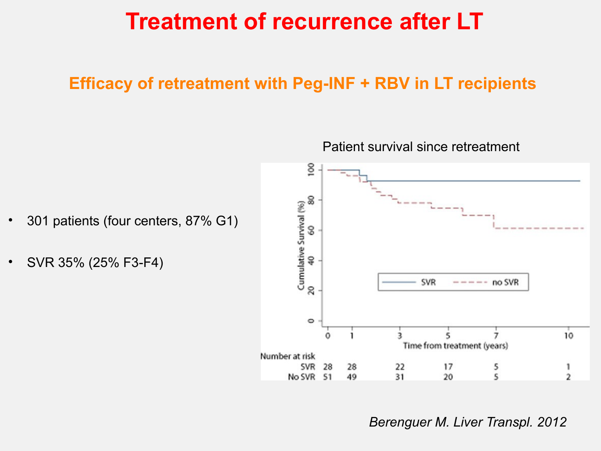### **Treatment of recurrence after LT**

#### **Efficacy of retreatment with Peg-INF + RBV in LT recipients**

- 301 patients (four centers, 87% G1)
- SVR 35% (25% F3-F4)

Patient survival since retreatment



#### *Berenguer M. Liver Transpl. 2012*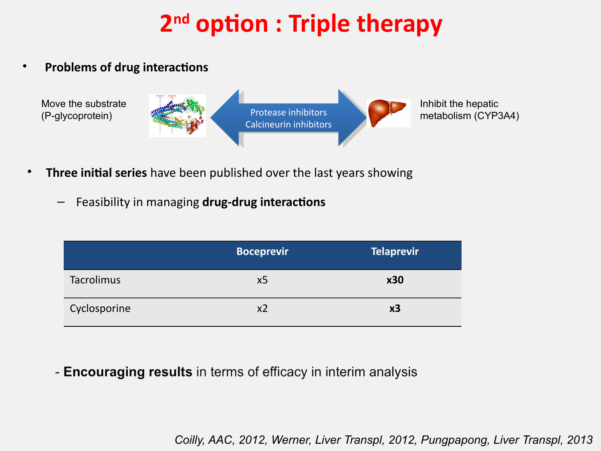## **2 nd option : Triple therapy**

• **Problems of drug interactions**



- **Three initial series** have been published over the last years showing
	- Feasibility in managing **drug-drug interactions**

|              | <b>Boceprevir</b> | Telaprevir |
|--------------|-------------------|------------|
| Tacrolimus   | x5                | <b>x30</b> |
| Cyclosporine | х2                | x3         |

- Encouraging results in terms of efficacy in interim analysis

*Coilly, AAC, 2012, Werner, Liver Transpl, 2012, Pungpapong, Liver Transpl, 2013*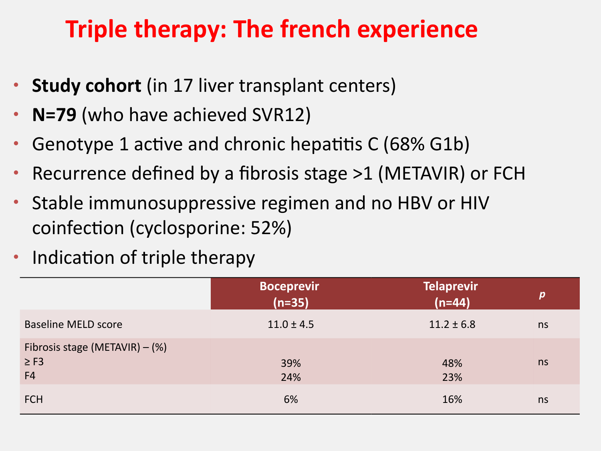### **Triple therapy: The french experience**

- **Study cohort** (in 17 liver transplant centers)
- **N=79** (who have achieved SVR12)
- Genotype 1 active and chronic hepatitis C (68% G1b)
- Recurrence defined by a fibrosis stage >1 (METAVIR) or FCH
- Stable immunosuppressive regimen and no HBV or HIV coinfection (cyclosporine: 52%)
- Indication of triple therapy

|                                                                 | <b>Boceprevir</b><br>$(n=35)$ | <b>Telaprevir</b><br>$(n=44)$ | $\boldsymbol{p}$ |
|-----------------------------------------------------------------|-------------------------------|-------------------------------|------------------|
| <b>Baseline MELD score</b>                                      | $11.0 \pm 4.5$                | $11.2 \pm 6.8$                | ns               |
| Fibrosis stage (METAVIR) $-$ (%)<br>$\geq$ F3<br>F <sub>4</sub> | 39%<br>24%                    | 48%<br>23%                    | ns               |
| <b>FCH</b>                                                      | 6%                            | 16%                           | ns               |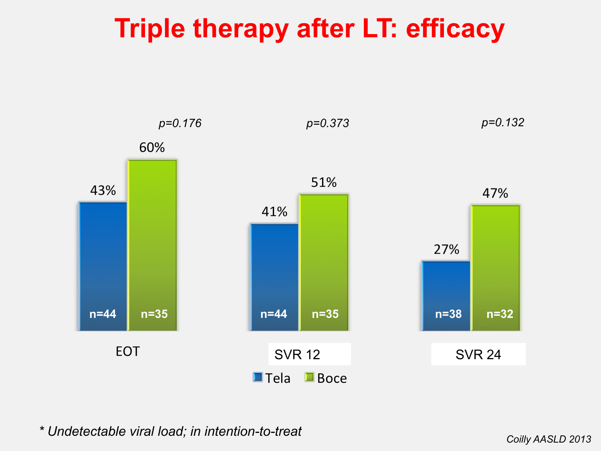## **Triple therapy after LT: efficacy**



*\* Undetectable viral load; in intention-to-treat* 

*Coilly AASLD 2013*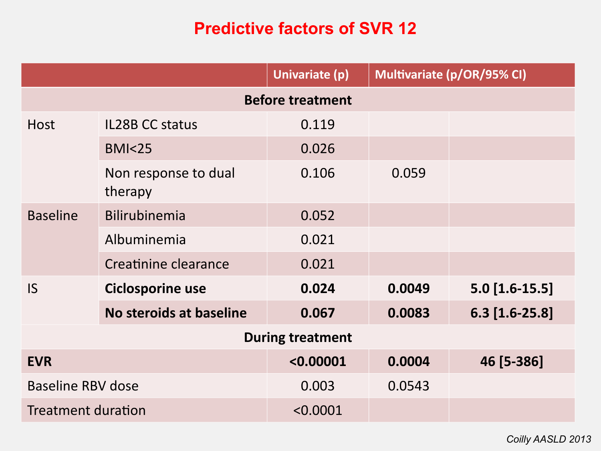#### **Predictive factors of SVR 12**

|                           |                                 | Univariate (p) |        | Multivariate (p/OR/95% CI) |  |
|---------------------------|---------------------------------|----------------|--------|----------------------------|--|
| <b>Before treatment</b>   |                                 |                |        |                            |  |
| <b>Host</b>               | <b>IL28B CC status</b>          | 0.119          |        |                            |  |
|                           | <b>BMI&lt;25</b>                | 0.026          |        |                            |  |
|                           | Non response to dual<br>therapy | 0.106          | 0.059  |                            |  |
| <b>Baseline</b>           | Bilirubinemia                   | 0.052          |        |                            |  |
|                           | Albuminemia                     | 0.021          |        |                            |  |
|                           | Creatinine clearance            | 0.021          |        |                            |  |
| <b>IS</b>                 | <b>Ciclosporine use</b>         | 0.024          | 0.0049 | $5.0$ [1.6-15.5]           |  |
|                           | No steroids at baseline         | 0.067          | 0.0083 | $6.3$ [1.6-25.8]           |  |
| <b>During treatment</b>   |                                 |                |        |                            |  |
| <b>EVR</b>                |                                 | < 0.00001      | 0.0004 | 46 [5-386]                 |  |
| <b>Baseline RBV dose</b>  |                                 | 0.003          | 0.0543 |                            |  |
| <b>Treatment duration</b> |                                 | < 0.0001       |        |                            |  |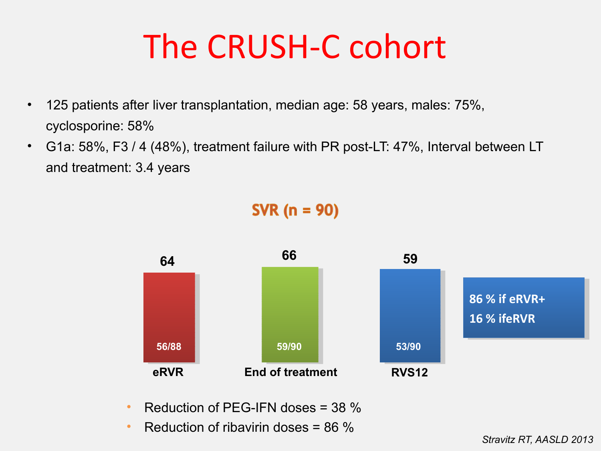# The CRUSH-C cohort

- 125 patients after liver transplantation, median age: 58 years, males: 75%, cyclosporine: 58%
- G1a: 58%, F3 / 4 (48%), treatment failure with PR post-LT: 47%, Interval between LT and treatment: 3.4 years



- Reduction of PEG-IFN doses  $=$  38  $\%$
- Reduction of ribavirin doses  $= 86\%$

#### **SVR** ( $n = 90$ )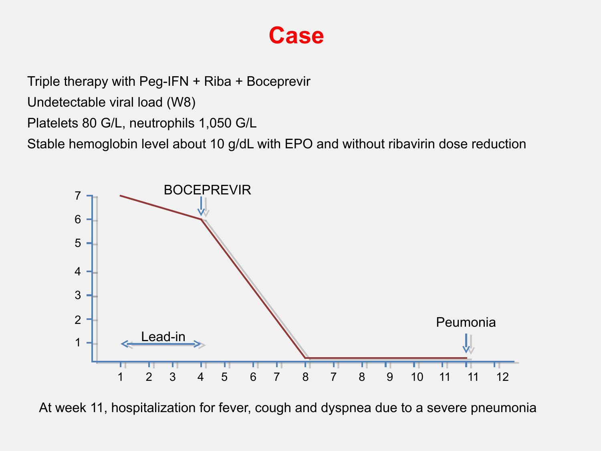Triple therapy with Peg-IFN + Riba + Boceprevir

Undetectable viral load (W8)

Platelets 80 G/L, neutrophils 1,050 G/L

Stable hemoglobin level about 10 g/dL with EPO and without ribavirin dose reduction



At week 11, hospitalization for fever, cough and dyspnea due to a severe pneumonia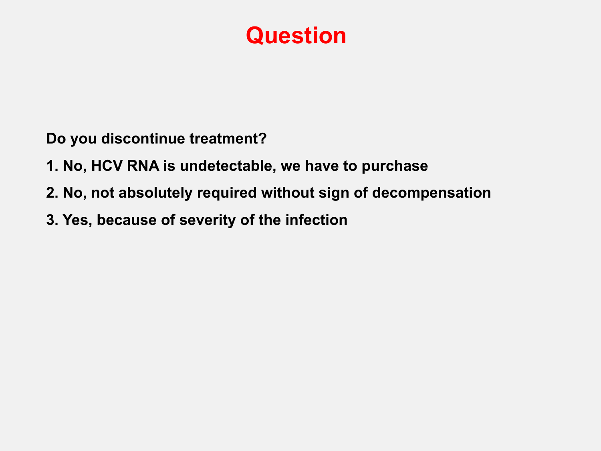### **Question**

**Do you discontinue treatment?** 

- **1. No, HCV RNA is undetectable, we have to purchase**
- **2. No, not absolutely required without sign of decompensation**
- **3. Yes, because of severity of the infection**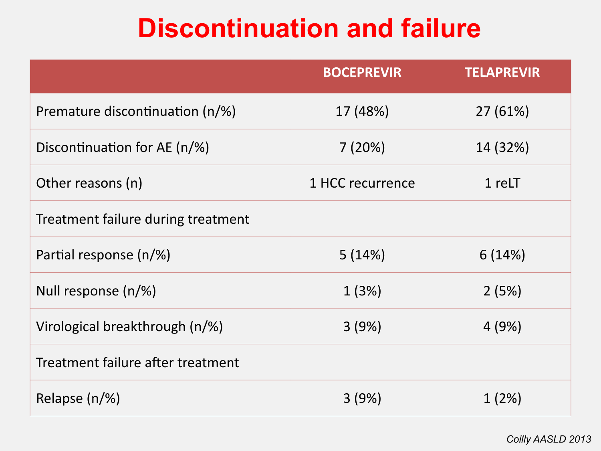## **Discontinuation and failure**

|                                    | <b>BOCEPREVIR</b> | <b>TELAPREVIR</b> |
|------------------------------------|-------------------|-------------------|
| Premature discontinuation (n/%)    | 17 (48%)          | 27(61%)           |
| Discontinuation for AE (n/%)       | 7(20%)            | 14 (32%)          |
| Other reasons (n)                  | 1 HCC recurrence  | 1 reLT            |
| Treatment failure during treatment |                   |                   |
| Partial response (n/%)             | 5(14%)            | 6(14%)            |
| Null response (n/%)                | 1(3%)             | 2(5%)             |
| Virological breakthrough (n/%)     | 3(9%)             | 4(9%)             |
| Treatment failure after treatment  |                   |                   |
| Relapse $(n/\%)$                   | 3(9%)             | 1(2%)             |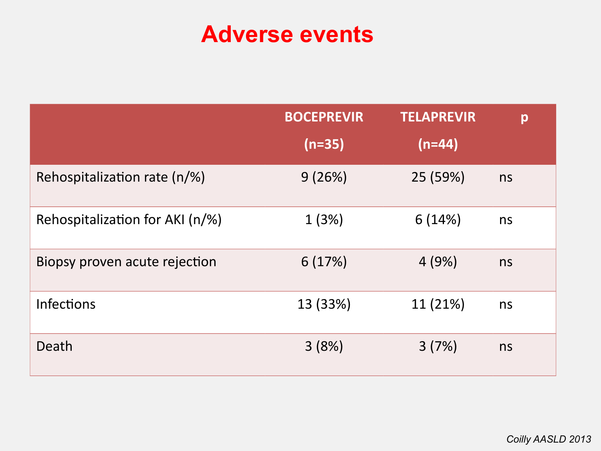### **Adverse events**

|                                 | <b>BOCEPREVIR</b> | <b>TELAPREVIR</b> | p  |
|---------------------------------|-------------------|-------------------|----|
|                                 | $(n=35)$          | $(n=44)$          |    |
| Rehospitalization rate (n/%)    | 9(26%)            | 25 (59%)          | ns |
| Rehospitalization for AKI (n/%) | 1(3%)             | 6(14%)            | ns |
| Biopsy proven acute rejection   | 6(17%)            | 4(9%)             | ns |
| <b>Infections</b>               | 13 (33%)          | 11 (21%)          | ns |
| Death                           | 3(8%)             | 3(7%)             | ns |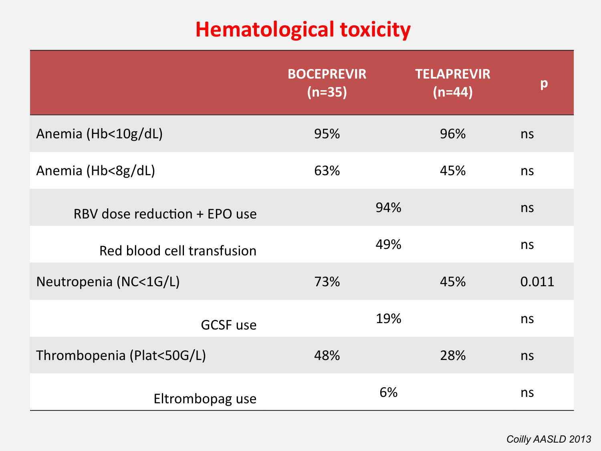### **Hematological toxicity**

|                              | <b>BOCEPREVIR</b><br>$(n=35)$ | <b>TELAPREVIR</b><br>$(n=44)$ | p     |
|------------------------------|-------------------------------|-------------------------------|-------|
| Anemia (Hb<10g/dL)           | 95%                           | 96%                           | ns    |
| Anemia (Hb<8g/dL)            | 63%                           | 45%                           | ns    |
| RBV dose reduction + EPO use | 94%                           |                               | ns    |
| Red blood cell transfusion   | 49%                           |                               | ns    |
| Neutropenia (NC<1G/L)        | 73%                           | 45%                           | 0.011 |
| <b>GCSF use</b>              | 19%                           |                               | ns    |
| Thrombopenia (Plat<50G/L)    | 48%                           | 28%                           | ns    |
| Eltrombopag use              | 6%                            |                               | ns    |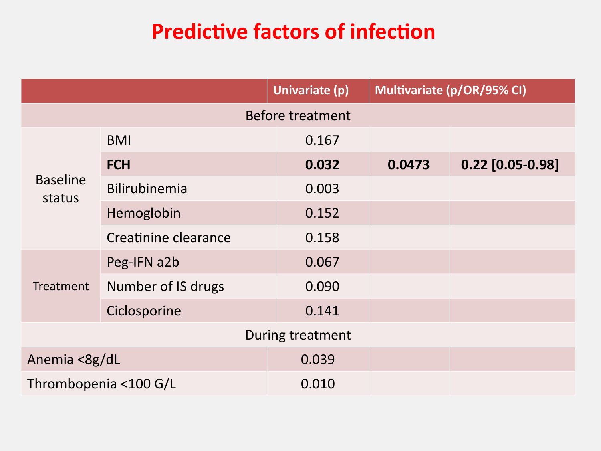### **Predictive factors of infection**

|                           |                      | Univariate (p)   | Multivariate (p/OR/95% CI) |                    |
|---------------------------|----------------------|------------------|----------------------------|--------------------|
|                           |                      | Before treatment |                            |                    |
|                           | <b>BMI</b>           | 0.167            |                            |                    |
|                           | <b>FCH</b>           | 0.032            | 0.0473                     | $0.22$ [0.05-0.98] |
| <b>Baseline</b><br>status | Bilirubinemia        | 0.003            |                            |                    |
|                           | Hemoglobin           | 0.152            |                            |                    |
|                           | Creatinine clearance | 0.158            |                            |                    |
|                           | Peg-IFN a2b          | 0.067            |                            |                    |
| Treatment                 | Number of IS drugs   | 0.090            |                            |                    |
|                           | Ciclosporine         | 0.141            |                            |                    |
|                           |                      | During treatment |                            |                    |
| Anemia <8g/dL             |                      | 0.039            |                            |                    |
| Thrombopenia <100 G/L     |                      | 0.010            |                            |                    |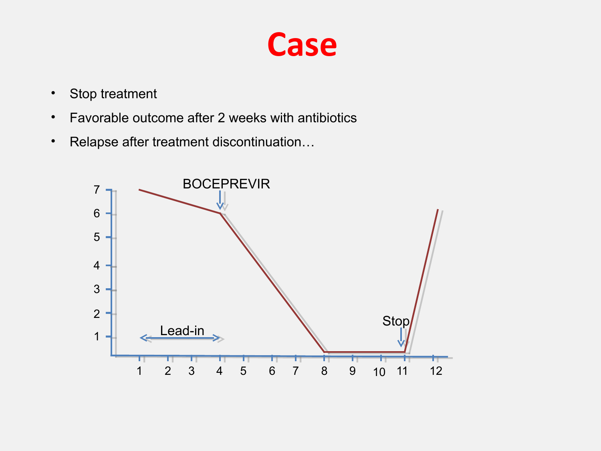

- Stop treatment
- Favorable outcome after 2 weeks with antibiotics
- Relapse after treatment discontinuation…

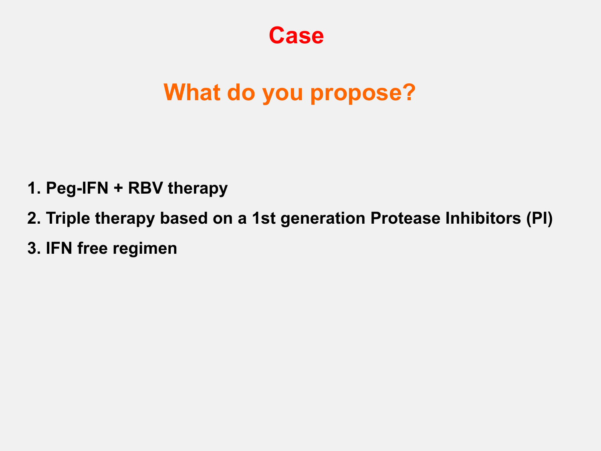### **What do you propose?**

- **1. Peg-IFN + RBV therapy**
- **2. Triple therapy based on a 1st generation Protease Inhibitors (PI)**
- **3. IFN free regimen**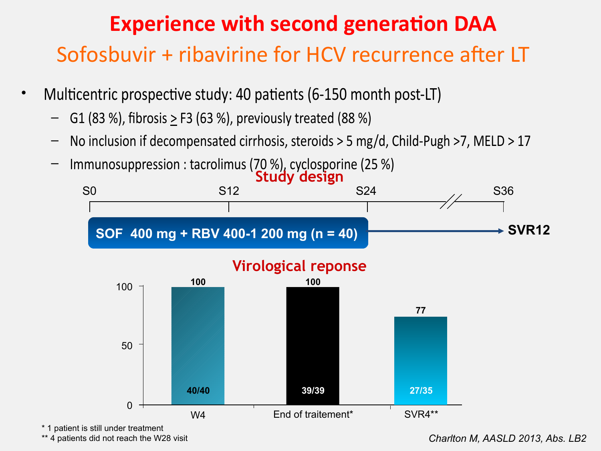### Sofosbuvir + ribavirine for HCV recurrence after LT **Experience with second generation DAA**

- Multicentric prospective study: 40 patients (6-150 month post-LT)
	- G1 (83 %), fbrosis > F3 (63 %), previously treated (88 %)
	- No inclusion if decompensated cirrhosis, steroids > 5 mg/d, Child-Pugh >7, MELD > 17
	- Immunosuppression : tacrolimus (70 %), cyclosporine (25 %)



\* 1 patient is still under treatment

\*\* 4 patients did not reach the W28 visit

*Charlton M, AASLD 2013, Abs. LB2*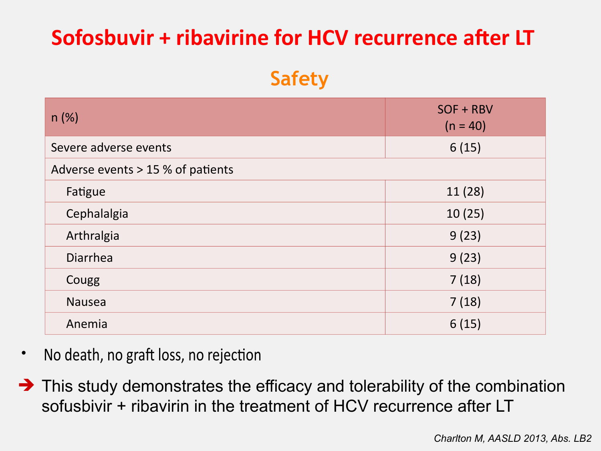### **Sofosbuvir + ribavirine for HCV recurrence after LT**

#### **Safety**

| n(%)                              | SOF + RBV<br>$(n = 40)$ |  |  |
|-----------------------------------|-------------------------|--|--|
| Severe adverse events             | 6(15)                   |  |  |
| Adverse events > 15 % of patients |                         |  |  |
| Fatigue                           | 11(28)                  |  |  |
| Cephalalgia                       | 10(25)                  |  |  |
| Arthralgia                        | 9(23)                   |  |  |
| <b>Diarrhea</b>                   | 9(23)                   |  |  |
| Cougg                             | 7(18)                   |  |  |
| <b>Nausea</b>                     | 7(18)                   |  |  |
| Anemia                            | 6(15)                   |  |  |

- No death, no graft loss, no rejection
- $\rightarrow$  This study demonstrates the efficacy and tolerability of the combination sofusbivir + ribavirin in the treatment of HCV recurrence after LT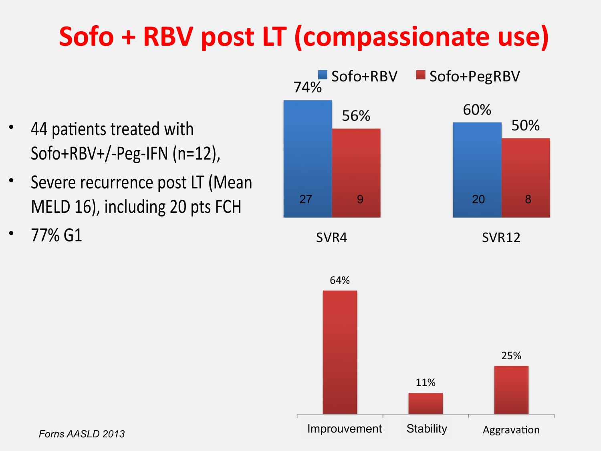## **Sofo + RBV post LT (compassionate use)**

- 44 patients treated with Sofo+RBV+/-Peg-IFN (n=12),
- Severe recurrence post LT (Mean MELD 16), including 20 pts FCH
- 77% G1

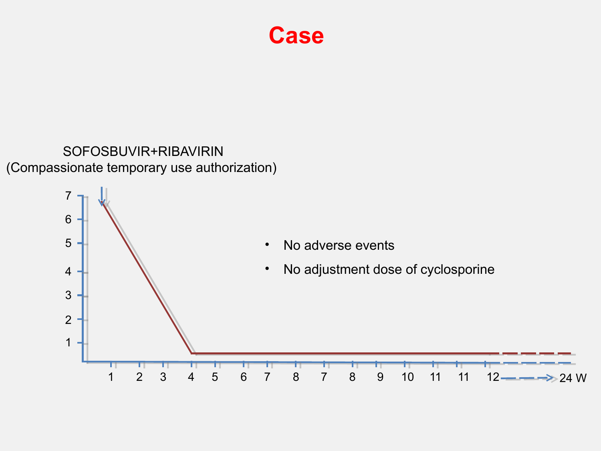